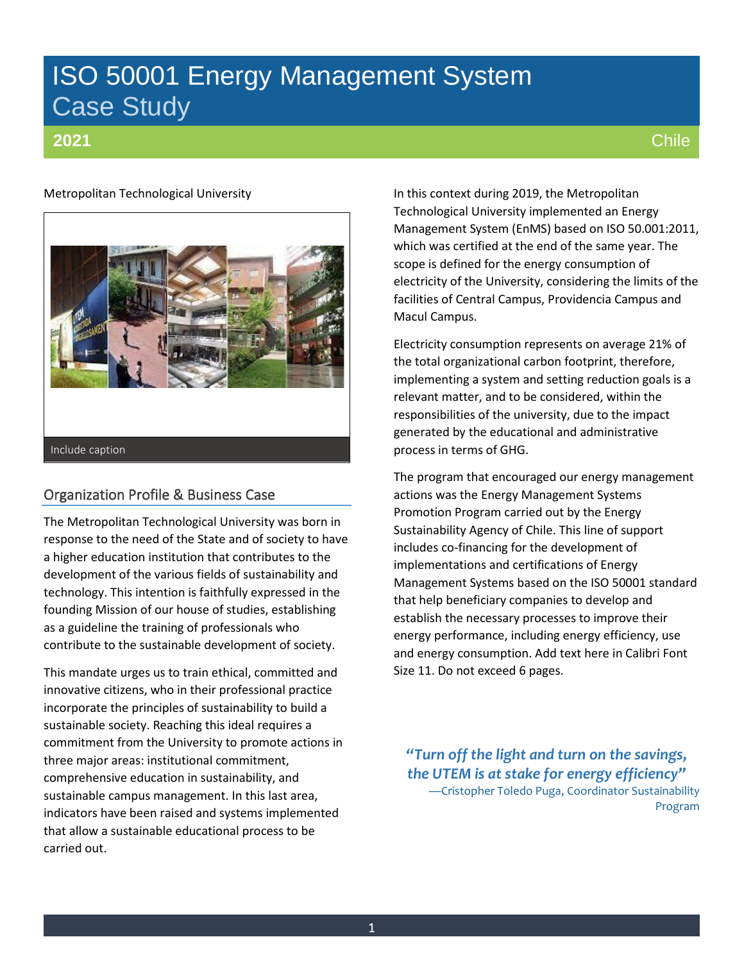# ISO 50001 Energy Management System Case Study

# **2021**

# Metropolitan Technological University



# Organization Profile & Business Case

The Metropolitan Technological University was born in response to the need of the State and of society to have a higher education institution that contributes to the development of the various fields of sustainability and technology. This intention is faithfully expressed in the founding Mission of our house of studies, establishing as a guideline the training of professionals who contribute to the sustainable development of society.

This mandate urges us to train ethical, committed and innovative citizens, who in their professional practice incorporate the principles of sustainability to build a sustainable society. Reaching this ideal requires a commitment from the University to promote actions in three major areas: institutional commitment, comprehensive education in sustainability, and sustainable campus management. In this last area, indicators have been raised and systems implemented that allow a sustainable educational process to be carried out.

In this context during 2019, the Metropolitan Technological University implemented an Energy Management System (EnMS) based on ISO 50.001:2011, which was certified at the end of the same year. The scope is defined for the energy consumption of electricity of the University, considering the limits of the facilities of Central Campus, Providencia Campus and Macul Campus.

Electricity consumption represents on average 21% of the total organizational carbon footprint, therefore, implementing a system and setting reduction goals is a relevant matter, and to be considered, within the responsibilities of the university, due to the impact generated by the educational and administrative process in terms of GHG.

The program that encouraged our energy management actions was the Energy Management Systems Promotion Program carried out by the Energy Sustainability Agency of Chile. This line of support includes co-financing for the development of implementations and certifications of Energy Management Systems based on the ISO 50001 standard that help beneficiary companies to develop and establish the necessary processes to improve their energy performance, including energy efficiency, use and energy consumption. Add text here in Calibri Font Size 11. Do not exceed 6 pages.

*"Turn off the light and turn on the savings, the UTEM is at stake for energy efficiency"* —Cristopher Toledo Puga, Coordinator Sustainability Program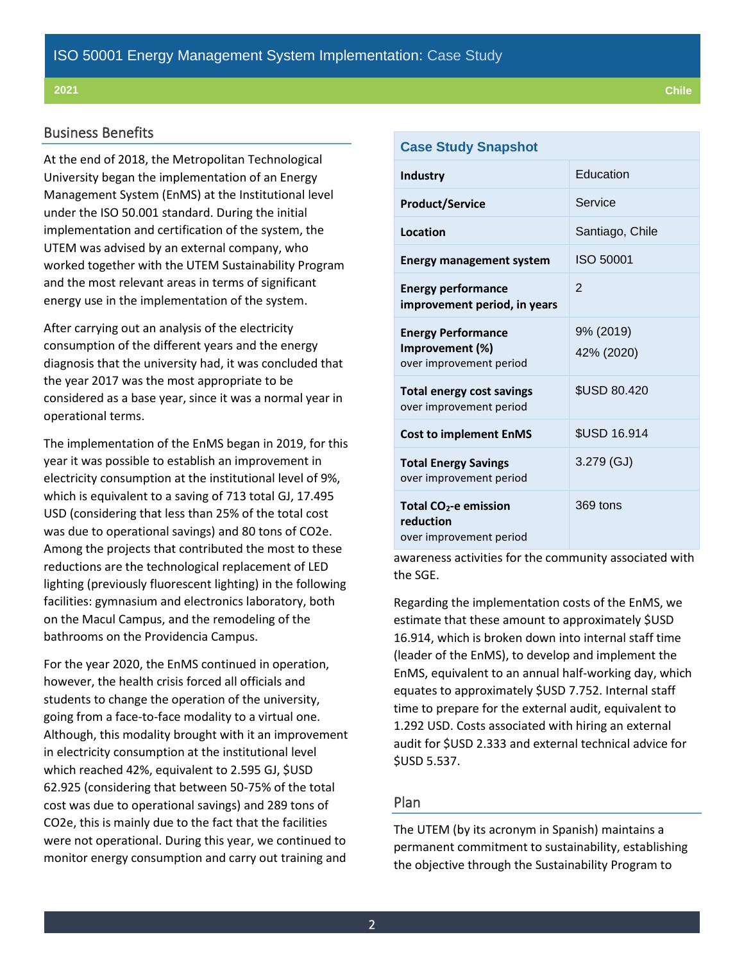### Business Benefits

At the end of 2018, the Metropolitan Technological University began the implementation of an Energy Management System (EnMS) at the Institutional level under the ISO 50.001 standard. During the initial implementation and certification of the system, the UTEM was advised by an external company, who worked together with the UTEM Sustainability Program and the most relevant areas in terms of significant energy use in the implementation of the system.

After carrying out an analysis of the electricity consumption of the different years and the energy diagnosis that the university had, it was concluded that the year 2017 was the most appropriate to be considered as a base year, since it was a normal year in operational terms.

The implementation of the EnMS began in 2019, for this year it was possible to establish an improvement in electricity consumption at the institutional level of 9%, which is equivalent to a saving of 713 total GJ, 17.495 USD (considering that less than 25% of the total cost was due to operational savings) and 80 tons of CO2e. Among the projects that contributed the most to these reductions are the technological replacement of LED lighting (previously fluorescent lighting) in the following facilities: gymnasium and electronics laboratory, both on the Macul Campus, and the remodeling of the bathrooms on the Providencia Campus.

For the year 2020, the EnMS continued in operation, however, the health crisis forced all officials and students to change the operation of the university, going from a face-to-face modality to a virtual one. Although, this modality brought with it an improvement in electricity consumption at the institutional level which reached 42%, equivalent to 2.595 GJ, \$USD 62.925 (considering that between 50-75% of the total cost was due to operational savings) and 289 tons of CO2e, this is mainly due to the fact that the facilities were not operational. During this year, we continued to monitor energy consumption and carry out training and

| <b>Case Study Snapshot</b>                                                |                         |  |
|---------------------------------------------------------------------------|-------------------------|--|
| <b>Industry</b>                                                           | Education               |  |
| <b>Product/Service</b>                                                    | Service                 |  |
| Location                                                                  | Santiago, Chile         |  |
| <b>Energy management system</b>                                           | ISO 50001               |  |
| <b>Energy performance</b><br>improvement period, in years                 | $\mathfrak{p}$          |  |
| <b>Energy Performance</b><br>Improvement (%)<br>over improvement period   | 9% (2019)<br>42% (2020) |  |
| Total energy cost savings<br>over improvement period                      | <b>\$USD 80.420</b>     |  |
| <b>Cost to implement EnMS</b>                                             | <b>\$USD 16.914</b>     |  |
| <b>Total Energy Savings</b><br>over improvement period                    | 3.279 (GJ)              |  |
| Total CO <sub>2</sub> -e emission<br>reduction<br>over improvement period | 369 tons                |  |

awareness activities for the community associated with the SGE.

Regarding the implementation costs of the EnMS, we estimate that these amount to approximately \$USD 16.914, which is broken down into internal staff time (leader of the EnMS), to develop and implement the EnMS, equivalent to an annual half-working day, which equates to approximately \$USD 7.752. Internal staff time to prepare for the external audit, equivalent to 1.292 USD. Costs associated with hiring an external audit for \$USD 2.333 and external technical advice for \$USD 5.537.

# Plan

The UTEM (by its acronym in Spanish) maintains a permanent commitment to sustainability, establishing the objective through the Sustainability Program to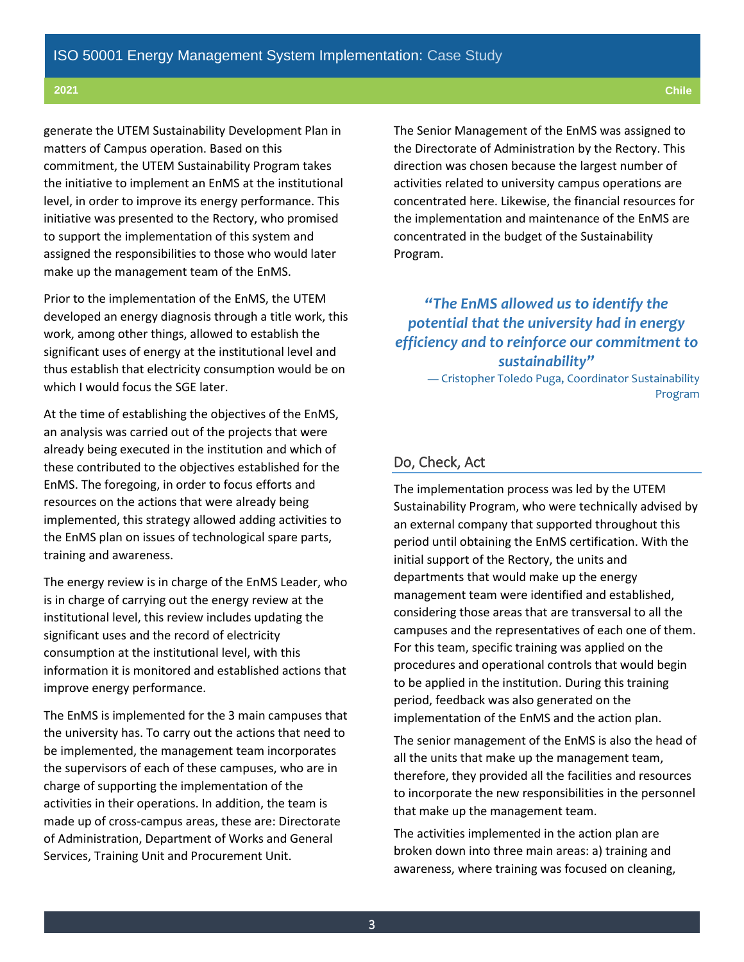generate the UTEM Sustainability Development Plan in matters of Campus operation. Based on this commitment, the UTEM Sustainability Program takes the initiative to implement an EnMS at the institutional level, in order to improve its energy performance. This initiative was presented to the Rectory, who promised to support the implementation of this system and assigned the responsibilities to those who would later make up the management team of the EnMS.

Prior to the implementation of the EnMS, the UTEM developed an energy diagnosis through a title work, this work, among other things, allowed to establish the significant uses of energy at the institutional level and thus establish that electricity consumption would be on which I would focus the SGE later.

At the time of establishing the objectives of the EnMS, an analysis was carried out of the projects that were already being executed in the institution and which of these contributed to the objectives established for the EnMS. The foregoing, in order to focus efforts and resources on the actions that were already being implemented, this strategy allowed adding activities to the EnMS plan on issues of technological spare parts, training and awareness.

The energy review is in charge of the EnMS Leader, who is in charge of carrying out the energy review at the institutional level, this review includes updating the significant uses and the record of electricity consumption at the institutional level, with this information it is monitored and established actions that improve energy performance.

The EnMS is implemented for the 3 main campuses that the university has. To carry out the actions that need to be implemented, the management team incorporates the supervisors of each of these campuses, who are in charge of supporting the implementation of the activities in their operations. In addition, the team is made up of cross-campus areas, these are: Directorate of Administration, Department of Works and General Services, Training Unit and Procurement Unit.

The Senior Management of the EnMS was assigned to the Directorate of Administration by the Rectory. This direction was chosen because the largest number of activities related to university campus operations are concentrated here. Likewise, the financial resources for the implementation and maintenance of the EnMS are concentrated in the budget of the Sustainability Program.

# *"The EnMS allowed us to identify the potential that the university had in energy efficiency and to reinforce our commitment to sustainability"*

— Cristopher Toledo Puga, Coordinator Sustainability Program

## Do, Check, Act

The implementation process was led by the UTEM Sustainability Program, who were technically advised by an external company that supported throughout this period until obtaining the EnMS certification. With the initial support of the Rectory, the units and departments that would make up the energy management team were identified and established, considering those areas that are transversal to all the campuses and the representatives of each one of them. For this team, specific training was applied on the procedures and operational controls that would begin to be applied in the institution. During this training period, feedback was also generated on the implementation of the EnMS and the action plan.

The senior management of the EnMS is also the head of all the units that make up the management team, therefore, they provided all the facilities and resources to incorporate the new responsibilities in the personnel that make up the management team.

The activities implemented in the action plan are broken down into three main areas: a) training and awareness, where training was focused on cleaning,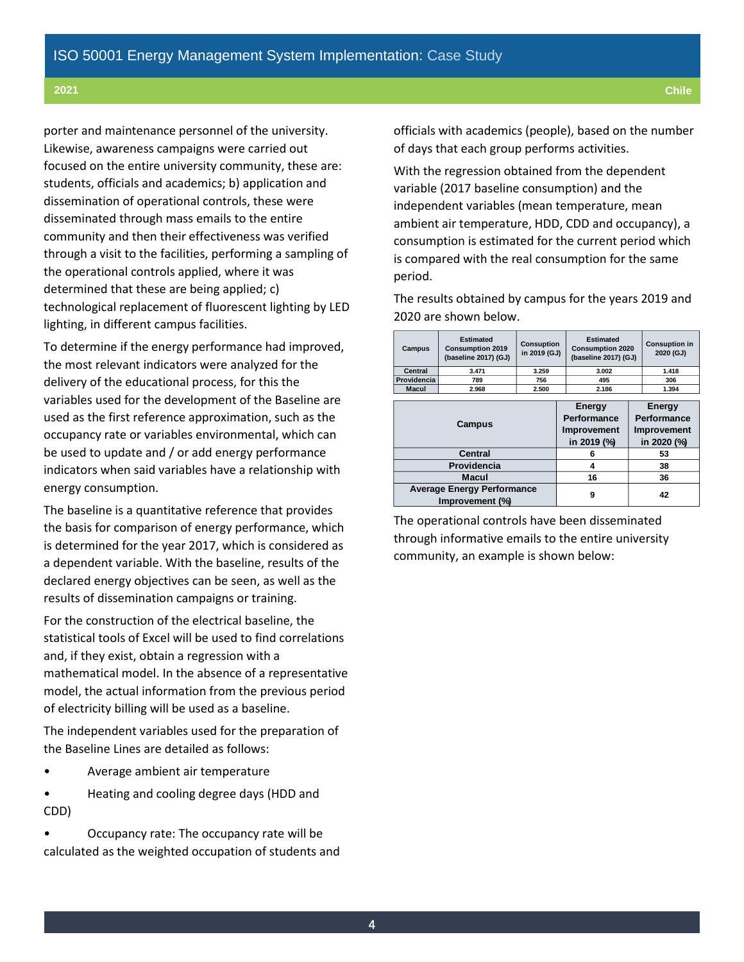porter and maintenance personnel of the university. Likewise, awareness campaigns were carried out focused on the entire university community, these are: students, officials and academics; b) application and dissemination of operational controls, these were disseminated through mass emails to the entire community and then their effectiveness was verified through a visit to the facilities, performing a sampling of the operational controls applied, where it was determined that these are being applied; c) technological replacement of fluorescent lighting by LED lighting, in different campus facilities.

To determine if the energy performance had improved, the most relevant indicators were analyzed for the delivery of the educational process, for this the variables used for the development of the Baseline are used as the first reference approximation, such as the occupancy rate or variables environmental, which can be used to update and / or add energy performance indicators when said variables have a relationship with energy consumption.

The baseline is a quantitative reference that provides the basis for comparison of energy performance, which is determined for the year 2017, which is considered as a dependent variable. With the baseline, results of the declared energy objectives can be seen, as well as the results of dissemination campaigns or training.

For the construction of the electrical baseline, the statistical tools of Excel will be used to find correlations and, if they exist, obtain a regression with a mathematical model. In the absence of a representative model, the actual information from the previous period of electricity billing will be used as a baseline.

The independent variables used for the preparation of the Baseline Lines are detailed as follows:

- Average ambient air temperature
- Heating and cooling degree days (HDD and CDD)
- Occupancy rate: The occupancy rate will be calculated as the weighted occupation of students and

officials with academics (people), based on the number of days that each group performs activities.

With the regression obtained from the dependent variable (2017 baseline consumption) and the independent variables (mean temperature, mean ambient air temperature, HDD, CDD and occupancy), a consumption is estimated for the current period which is compared with the real consumption for the same period.

The results obtained by campus for the years 2019 and 2020 are shown below.

| Campus                                               | <b>Estimated</b><br><b>Consumption 2019</b><br>(baseline 2017) (GJ) | <b>Consuption</b><br>in 2019 (GJ)                   | <b>Estimated</b><br><b>Consumption 2020</b><br>(baseline 2017) (GJ) |                                                     | <b>Consuption in</b><br>2020 (GJ) |  |
|------------------------------------------------------|---------------------------------------------------------------------|-----------------------------------------------------|---------------------------------------------------------------------|-----------------------------------------------------|-----------------------------------|--|
| Central                                              | 3.471                                                               | 3.259                                               | 3.002                                                               |                                                     | 1.418                             |  |
| Providencia                                          | 789                                                                 | 756                                                 | 495                                                                 |                                                     | 306                               |  |
| <b>Macul</b>                                         | 2.968                                                               | 2.500                                               | 2.186                                                               |                                                     |                                   |  |
|                                                      |                                                                     |                                                     |                                                                     |                                                     |                                   |  |
| Campus                                               |                                                                     | Energy<br>Performance<br>Improvement<br>in 2019 (%) |                                                                     | Energy<br>Performance<br>Improvement<br>in 2020 (%) |                                   |  |
| <b>Central</b>                                       |                                                                     |                                                     | 6                                                                   |                                                     | 53                                |  |
| Providencia                                          |                                                                     |                                                     | 4                                                                   |                                                     | 38                                |  |
| Macul                                                |                                                                     | 16                                                  |                                                                     | 36                                                  |                                   |  |
| <b>Average Energy Performance</b><br>Improvement (%) |                                                                     | 9                                                   |                                                                     | 42                                                  |                                   |  |

The operational controls have been disseminated through informative emails to the entire university community, an example is shown below: